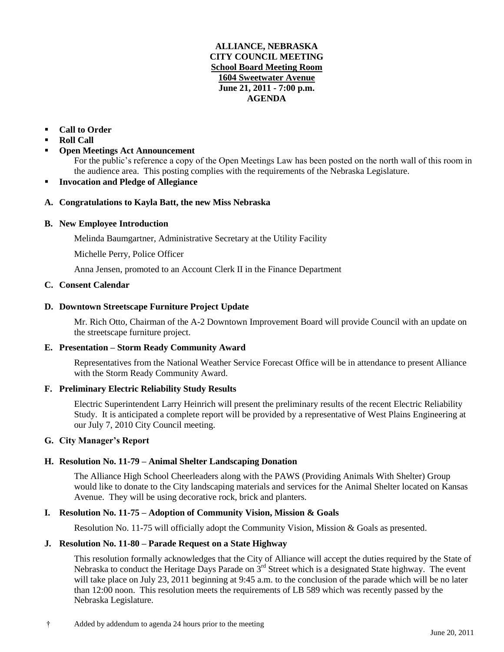#### **ALLIANCE, NEBRASKA CITY COUNCIL MEETING School Board Meeting Room 1604 Sweetwater Avenue June 21, 2011 - 7:00 p.m. AGENDA**

# **Call to Order**

- **Roll Call**
- **Open Meetings Act Announcement**

For the public's reference a copy of the Open Meetings Law has been posted on the north wall of this room in the audience area. This posting complies with the requirements of the Nebraska Legislature.

#### **Invocation and Pledge of Allegiance**

#### **A. Congratulations to Kayla Batt, the new Miss Nebraska**

#### **B. New Employee Introduction**

Melinda Baumgartner, Administrative Secretary at the Utility Facility

Michelle Perry, Police Officer

Anna Jensen, promoted to an Account Clerk II in the Finance Department

#### **C. Consent Calendar**

#### **D. Downtown Streetscape Furniture Project Update**

Mr. Rich Otto, Chairman of the A-2 Downtown Improvement Board will provide Council with an update on the streetscape furniture project.

#### **E. Presentation – Storm Ready Community Award**

Representatives from the National Weather Service Forecast Office will be in attendance to present Alliance with the Storm Ready Community Award.

#### **F. Preliminary Electric Reliability Study Results**

Electric Superintendent Larry Heinrich will present the preliminary results of the recent Electric Reliability Study. It is anticipated a complete report will be provided by a representative of West Plains Engineering at our July 7, 2010 City Council meeting.

#### **G. City Manager's Report**

#### **H. Resolution No. 11-79 – Animal Shelter Landscaping Donation**

The Alliance High School Cheerleaders along with the PAWS (Providing Animals With Shelter) Group would like to donate to the City landscaping materials and services for the Animal Shelter located on Kansas Avenue. They will be using decorative rock, brick and planters.

#### **I. Resolution No. 11-75 – Adoption of Community Vision, Mission & Goals**

Resolution No. 11-75 will officially adopt the Community Vision, Mission & Goals as presented.

#### **J. Resolution No. 11-80 – Parade Request on a State Highway**

This resolution formally acknowledges that the City of Alliance will accept the duties required by the State of Nebraska to conduct the Heritage Days Parade on 3<sup>rd</sup> Street which is a designated State highway. The event will take place on July 23, 2011 beginning at 9:45 a.m. to the conclusion of the parade which will be no later than 12:00 noon. This resolution meets the requirements of LB 589 which was recently passed by the Nebraska Legislature.